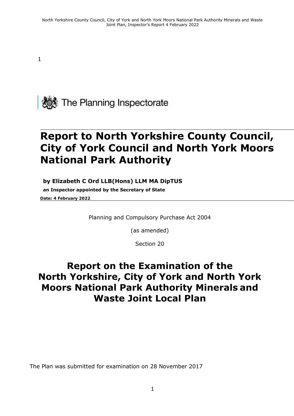1



# **Report to North Yorkshire County Council, City of York Council and North York Moors National Park Authority**

#### **by Elizabeth C Ord LLB(Hons) LLM MA DipTUS**

**an Inspector appointed by the Secretary of State Date: 4 February 2022**

Planning and Compulsory Purchase Act 2004

(as amended)

Section 20

## **Report on the Examination of the North Yorkshire, City of York and North York Moors National Park Authority Minerals and Waste Joint Local Plan**

The Plan was submitted for examination on 28 November 2017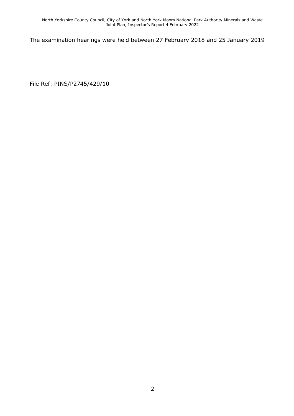The examination hearings were held between 27 February 2018 and 25 January 2019

File Ref: PINS/P2745/429/10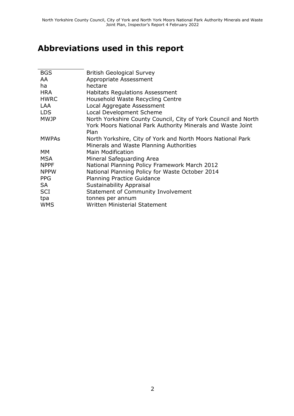## **Abbreviations used in this report**

| <b>BGS</b>   | <b>British Geological Survey</b>                               |
|--------------|----------------------------------------------------------------|
| AA           | Appropriate Assessment                                         |
| ha           | hectare                                                        |
| <b>HRA</b>   | <b>Habitats Regulations Assessment</b>                         |
| <b>HWRC</b>  | Household Waste Recycling Centre                               |
| <b>LAA</b>   | Local Aggregate Assessment                                     |
| <b>LDS</b>   | Local Development Scheme                                       |
| <b>MWJP</b>  | North Yorkshire County Council, City of York Council and North |
|              | York Moors National Park Authority Minerals and Waste Joint    |
|              | Plan                                                           |
| <b>MWPAs</b> | North Yorkshire, City of York and North Moors National Park    |
|              | Minerals and Waste Planning Authorities                        |
| <b>MM</b>    | <b>Main Modification</b>                                       |
| <b>MSA</b>   | Mineral Safeguarding Area                                      |
| <b>NPPF</b>  | National Planning Policy Framework March 2012                  |
| <b>NPPW</b>  | National Planning Policy for Waste October 2014                |
| <b>PPG</b>   | <b>Planning Practice Guidance</b>                              |
| SA           | <b>Sustainability Appraisal</b>                                |
| <b>SCI</b>   | Statement of Community Involvement                             |
| tpa          | tonnes per annum                                               |
| <b>WMS</b>   | Written Ministerial Statement                                  |
|              |                                                                |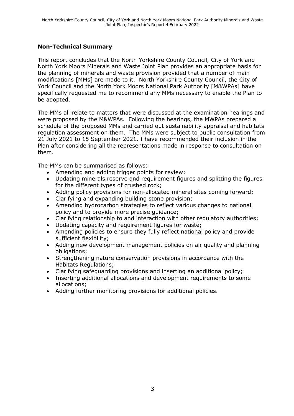#### **Non-Technical Summary**

This report concludes that the North Yorkshire County Council, City of York and North York Moors Minerals and Waste Joint Plan provides an appropriate basis for the planning of minerals and waste provision provided that a number of main modifications [MMs] are made to it. North Yorkshire County Council, the City of York Council and the North York Moors National Park Authority [M&WPAs] have specifically requested me to recommend any MMs necessary to enable the Plan to be adopted.

The MMs all relate to matters that were discussed at the examination hearings and were proposed by the M&WPAs. Following the hearings, the MWPAs prepared a schedule of the proposed MMs and carried out sustainability appraisal and habitats regulation assessment on them. The MMs were subject to public consultation from 21 July 2021 to 15 September 2021. I have recommended their inclusion in the Plan after considering all the representations made in response to consultation on them.

The MMs can be summarised as follows:

- Amending and adding trigger points for review;
- Updating minerals reserve and requirement figures and splitting the figures for the different types of crushed rock;
- Adding policy provisions for non-allocated mineral sites coming forward;
- Clarifying and expanding building stone provision;
- Amending hydrocarbon strategies to reflect various changes to national policy and to provide more precise guidance;
- Clarifying relationship to and interaction with other regulatory authorities;
- Updating capacity and requirement figures for waste;
- Amending policies to ensure they fully reflect national policy and provide sufficient flexibility;
- Adding new development management policies on air quality and planning obligations;
- Strengthening nature conservation provisions in accordance with the Habitats Regulations;
- Clarifying safeguarding provisions and inserting an additional policy;
- Inserting additional allocations and development requirements to some allocations;
- Adding further monitoring provisions for additional policies.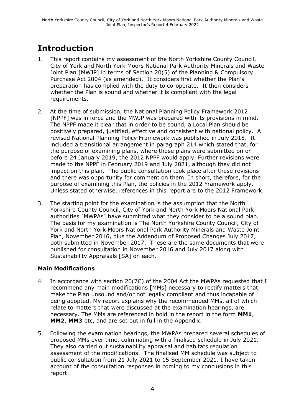## **Introduction**

- 1. This report contains my assessment of the North Yorkshire County Council, City of York and North York Moors National Park Authority Minerals and Waste Joint Plan [MWJP] in terms of Section 20(5) of the Planning & Compulsory Purchase Act 2004 (as amended). It considers first whether the Plan's preparation has complied with the duty to co-operate. It then considers whether the Plan is sound and whether it is compliant with the legal requirements.
- 2. At the time of submission, the National Planning Policy Framework 2012 [NPPF] was in force and the MWJP was prepared with its provisions in mind. The NPPF made it clear that in order to be sound, a Local Plan should be positively prepared, justified, effective and consistent with national policy. A revised National Planning Policy Framework was published in July 2018. It included a transitional arrangement in paragraph 214 which stated that, for the purpose of examining plans, where those plans were submitted on or before 24 January 2019, the 2012 NPPF would apply. Further revisions were made to the NPPF in February 2019 and July 2021, although they did not impact on this plan. The public consultation took place after these revisions and there was opportunity for comment on them. In short, therefore, for the purpose of examining this Plan, the policies in the 2012 Framework apply. Unless stated otherwise, references in this report are to the 2012 Framework.
- 3. The starting point for the examination is the assumption that the North Yorkshire County Council, City of York and North York Moors National Park authorities [MWPAs] have submitted what they consider to be a sound plan. The basis for my examination is The North Yorkshire County Council, City of York and North York Moors National Park Authority Minerals and Waste Joint Plan, November 2016, plus the Addendum of Proposed Changes July 2017, both submitted in November 2017. These are the same documents that were published for consultation in November 2016 and July 2017 along with Sustainability Appraisals [SA] on each.

#### **Main Modifications**

- 4. In accordance with section 20(7C) of the 2004 Act the MWPAs requested that I recommend any main modifications [MMs] necessary to rectify matters that make the Plan unsound and/or not legally compliant and thus incapable of being adopted. My report explains why the recommended MMs, all of which relate to matters that were discussed at the examination hearings, are necessary. The MMs are referenced in bold in the report in the form **MM1**, **MM2**, **MM3** etc, and are set out in full in the Appendix.
- 5. Following the examination hearings, the MWPAs prepared several schedules of proposed MMs over time, culminating with a finalised schedule in July 2021. They also carried out sustainability appraisal and habitats regulation assessment of the modifications. The finalised MM schedule was subject to public consultation from 21 July 2021 to 15 September 2021. I have taken account of the consultation responses in coming to my conclusions in this report.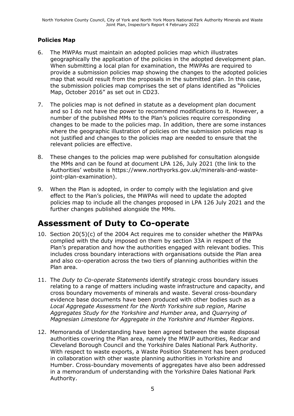#### **Policies Map**

- 6. The MWPAs must maintain an adopted policies map which illustrates geographically the application of the policies in the adopted development plan. When submitting a local plan for examination, the MWPAs are required to provide a submission policies map showing the changes to the adopted policies map that would result from the proposals in the submitted plan. In this case, the submission policies map comprises the set of plans identified as "Policies Map, October 2016" as set out in CD23.
- 7. The policies map is not defined in statute as a development plan document and so I do not have the power to recommend modifications to it. However, a number of the published MMs to the Plan's policies require corresponding changes to be made to the policies map. In addition, there are some instances where the geographic illustration of policies on the submission policies map is not justified and changes to the policies map are needed to ensure that the relevant policies are effective.
- 8. These changes to the policies map were published for consultation alongside the MMs and can be found at document LPA 126, July 2021 (the link to the Authorities' website is https://www.northyorks.gov.uk/minerals-and-wastejoint-plan-examination).
- 9. When the Plan is adopted, in order to comply with the legislation and give effect to the Plan's policies, the MWPAs will need to update the adopted policies map to include all the changes proposed in LPA 126 July 2021 and the further changes published alongside the MMs.

### **Assessment of Duty to Co-operate**

- 10. Section 20(5)(c) of the 2004 Act requires me to consider whether the MWPAs complied with the duty imposed on them by section 33A in respect of the Plan's preparation and how the authorities engaged with relevant bodies. This includes cross boundary interactions with organisations outside the Plan area and also co-operation across the two tiers of planning authorities within the Plan area.
- 11. The *Duty to Co-operate Statements* identify strategic cross boundary issues relating to a range of matters including waste infrastructure and capacity, and cross boundary movements of minerals and waste. Several cross-boundary evidence base documents have been produced with other bodies such as a *Local Aggregate Assessment for the North Yorkshire sub region*, *Marine Aggregates Study for the Yorkshire and Humber area*, and *Quarrying of Magnesian Limestone for Aggregate in the Yorkshire and Humber Regions*.
- 12. Memoranda of Understanding have been agreed between the waste disposal authorities covering the Plan area, namely the MWJP authorities, Redcar and Cleveland Borough Council and the Yorkshire Dales National Park Authority. With respect to waste exports, a Waste Position Statement has been produced in collaboration with other waste planning authorities in Yorkshire and Humber. Cross-boundary movements of aggregates have also been addressed in a memorandum of understanding with the Yorkshire Dales National Park Authority.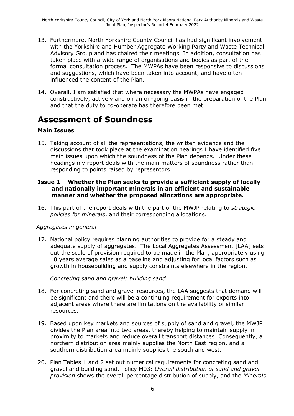- 13. Furthermore, North Yorkshire County Council has had significant involvement with the Yorkshire and Humber Aggregate Working Party and Waste Technical Advisory Group and has chaired their meetings. In addition, consultation has taken place with a wide range of organisations and bodies as part of the formal consultation process. The MWPAs have been responsive to discussions and suggestions, which have been taken into account, and have often influenced the content of the Plan.
- 14. Overall, I am satisfied that where necessary the MWPAs have engaged constructively, actively and on an on-going basis in the preparation of the Plan and that the duty to co-operate has therefore been met.

### **Assessment of Soundness**

#### **Main Issues**

15. Taking account of all the representations, the written evidence and the discussions that took place at the examination hearings I have identified five main issues upon which the soundness of the Plan depends. Under these headings my report deals with the main matters of soundness rather than responding to points raised by representors.

#### **Issue 1 – Whether the Plan seeks to provide a sufficient supply of locally and nationally important minerals in an efficient and sustainable manner and whether the proposed allocations are appropriate.**

16. This part of the report deals with the part of the MWJP relating to *strategic policies for minerals*, and their corresponding allocations.

#### *Aggregates in general*

17. National policy requires planning authorities to provide for a steady and adequate supply of aggregates. The Local Aggregates Assessment [LAA] sets out the scale of provision required to be made in the Plan, appropriately using 10 years average sales as a baseline and adjusting for local factors such as growth in housebuilding and supply constraints elsewhere in the region.

*Concreting sand and gravel; building sand*

- 18. For concreting sand and gravel resources, the LAA suggests that demand will be significant and there will be a continuing requirement for exports into adjacent areas where there are limitations on the availability of similar resources.
- 19. Based upon key markets and sources of supply of sand and gravel, the MWJP divides the Plan area into two areas, thereby helping to maintain supply in proximity to markets and reduce overall transport distances. Consequently, a northern distribution area mainly supplies the North East region, and a southern distribution area mainly supplies the south and west.
- 20. Plan Tables 1 and 2 set out numerical requirements for concreting sand and gravel and building sand, Policy M03: *Overall distribution of sand and gravel provision* shows the overall percentage distribution of supply, and the *Minerals*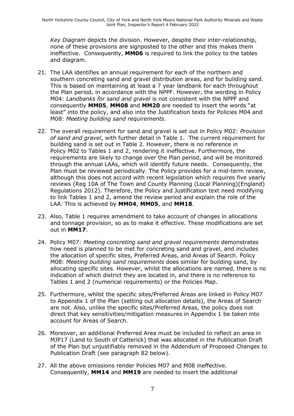*Key Diagram* depicts the division. However, despite their inter-relationship, none of these provisions are signposted to the other and this makes them ineffective. Consequently, **MM06** is required to link the policy to the tables and diagram.

- 21. The LAA identifies an annual requirement for each of the northern and southern concreting sand and gravel distribution areas, and for building sand. This is based on maintaining at least a 7 year landbank for each throughout the Plan period, in accordance with the NPPF. However, the wording in Policy M04: *Landbanks for sand and gravel* is not consistent with the NPPF and consequently **MM05**, **MM08** and **MM20** are needed to insert the words "at least" into the policy, and also into the Justification texts for Policies M04 and M08: *Meeting building sand requirements*.
- 22. The overall requirement for sand and gravel is set out in Policy M02: *Provision of sand and gravel*, with further detail in Table 1. The current requirement for building sand is set out in Table 2. However, there is no reference in Policy M02 to Tables 1 and 2, rendering it ineffective. Furthermore, the requirements are likely to change over the Plan period, and will be monitored through the annual LAAs, which will identify future needs. Consequently, the Plan must be reviewed periodically. The Policy provides for a mid-term review, although this does not accord with recent legislation which requires five yearly reviews (Reg 10A of The Town and County Planning (Local Planning)(England) Regulations 2012). Therefore, the Policy and Justification text need modifying to link Tables 1 and 2, amend the review period and explain the role of the LAA. This is achieved by **MM04**, **MM05**, and **MM18**.
- 23. Also, Table 1 requires amendment to take account of changes in allocations and tonnage provision, so as to make it effective. These modifications are set out in **MM17**.
- 24. Policy M07: *Meeting concreting sand and gravel requirements* demonstrates how need is planned to be met for concreting sand and gravel, and includes the allocation of specific sites, Preferred Areas, and Areas of Search. Policy M08: *Meeting building sand requirements* does similar for building sand, by allocating specific sites. However, whilst the allocations are named, there is no indication of which district they are located in, and there is no reference to Tables 1 and 2 (numerical requirements) or the Policies Map.
- 25. Furthermore, whilst the specific sites/Preferred Areas are linked in Policy M07 to Appendix 1 of the Plan (setting out allocation details), the Areas of Search are not. Also, unlike the specific sites/Preferred Areas, the policy does not direct that key sensitivities/mitigation measures in Appendix 1 be taken into account for Areas of Search.
- 26. Moreover, an additional Preferred Area must be included to reflect an area in MJP17 (Land to South of Catterick) that was allocated in the Publication Draft of the Plan but unjustifiably removed in the Addendum of Proposed Changes to Publication Draft (see paragraph 82 below).
- 27. All the above omissions render Policies M07 and M08 ineffective. Consequently, **MM14** and **MM19** are needed to insert the additional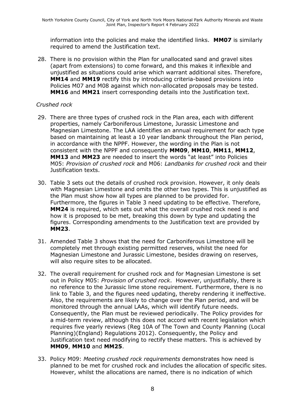information into the policies and make the identified links. **MM07** is similarly required to amend the Justification text.

28. There is no provision within the Plan for unallocated sand and gravel sites (apart from extensions) to come forward, and this makes it inflexible and unjustified as situations could arise which warrant additional sites. Therefore, **MM14** and **MM19** rectify this by introducing criteria-based provisions into Policies M07 and M08 against which non-allocated proposals may be tested. **MM16** and **MM21** insert corresponding details into the Justification text.

#### *Crushed rock*

- 29. There are three types of crushed rock in the Plan area, each with different properties, namely Carboniferous Limestone, Jurassic Limestone and Magnesian Limestone. The LAA identifies an annual requirement for each type based on maintaining at least a 10 year landbank throughout the Plan period, in accordance with the NPPF. However, the wording in the Plan is not consistent with the NPPF and consequently **MM09**, **MM10**, **MM11**, **MM12**, **MM13** and **MM23** are needed to insert the words "at least" into Policies M05: *Provision of crushed rock* and M06: *Landbanks for crushed rock* and their Justification texts.
- 30. Table 3 sets out the details of crushed rock provision. However, it only deals with Magnesian Limestone and omits the other two types. This is unjustified as the Plan must show how all types are planned to be provided for. Furthermore, the figures in Table 3 need updating to be effective. Therefore, **MM24** is required, which sets out what the overall crushed rock need is and how it is proposed to be met, breaking this down by type and updating the figures. Corresponding amendments to the Justification text are provided by **MM23**.
- 31. Amended Table 3 shows that the need for Carboniferous Limestone will be completely met through existing permitted reserves, whilst the need for Magnesian Limestone and Jurassic Limestone, besides drawing on reserves, will also require sites to be allocated.
- 32. The overall requirement for crushed rock and for Magnesian Limestone is set out in Policy M05: *Provision of crushed rock*. However, unjustifiably, there is no reference to the Jurassic lime stone requirement. Furthermore, there is no link to Table 3, and the figures need updating, thereby rendering it ineffective. Also, the requirements are likely to change over the Plan period, and will be monitored through the annual LAAs, which will identify future needs. Consequently, the Plan must be reviewed periodically. The Policy provides for a mid-term review, although this does not accord with recent legislation which requires five yearly reviews (Reg 10A of The Town and County Planning (Local Planning)(England) Regulations 2012). Consequently, the Policy and Justification text need modifying to rectify these matters. This is achieved by **MM09**, **MM10** and **MM25**.
- 33. Policy M09: *Meeting crushed rock requirements* demonstrates how need is planned to be met for crushed rock and includes the allocation of specific sites. However, whilst the allocations are named, there is no indication of which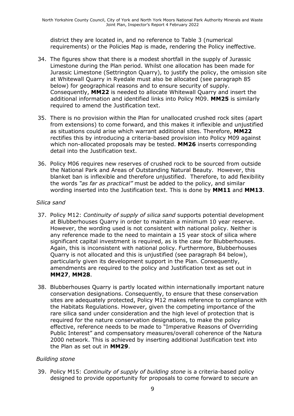district they are located in, and no reference to Table 3 (numerical requirements) or the Policies Map is made, rendering the Policy ineffective.

- 34. The figures show that there is a modest shortfall in the supply of Jurassic Limestone during the Plan period. Whilst one allocation has been made for Jurassic Limestone (Settrington Quarry), to justify the policy, the omission site at Whitewall Quarry in Ryedale must also be allocated (see paragraph 85 below) for geographical reasons and to ensure security of supply. Consequently, **MM22** is needed to allocate Whitewall Quarry and insert the additional information and identified links into Policy M09. **MM25** is similarly required to amend the Justification text.
- 35. There is no provision within the Plan for unallocated crushed rock sites (apart from extensions) to come forward, and this makes it inflexible and unjustified as situations could arise which warrant additional sites. Therefore, **MM22** rectifies this by introducing a criteria-based provision into Policy M09 against which non-allocated proposals may be tested. **MM26** inserts corresponding detail into the Justification text.
- 36. Policy M06 requires new reserves of crushed rock to be sourced from outside the National Park and Areas of Outstanding Natural Beauty. However, this blanket ban is inflexible and therefore unjustified. Therefore, to add flexibility the words *"as far as practical"* must be added to the policy, and similar wording inserted into the Justification text. This is done by **MM11** and **MM13**.

#### *Silica sand*

- 37. Policy M12: *Continuity of supply of silica sand* supports potential development at Blubberhouses Quarry in order to maintain a minimum 10 year reserve. However, the wording used is not consistent with national policy. Neither is any reference made to the need to maintain a 15 year stock of silica where significant capital investment is required, as is the case for Blubberhouses. Again, this is inconsistent with national policy. Furthermore, Blubberhouses Quarry is not allocated and this is unjustified (see paragraph 84 below), particularly given its development support in the Plan. Consequently, amendments are required to the policy and Justification text as set out in **MM27**, **MM28**.
- 38. Blubberhouses Quarry is partly located within internationally important nature conservation designations. Consequently, to ensure that these conservation sites are adequately protected, Policy M12 makes reference to compliance with the Habitats Regulations. However, given the competing importance of the rare silica sand under consideration and the high level of protection that is required for the nature conservation designations, to make the policy effective, reference needs to be made to "Imperative Reasons of Overriding Public Interest" and compensatory measures/overall coherence of the Natura 2000 network. This is achieved by inserting additional Justification text into the Plan as set out in **MM29**.

#### *Building stone*

39. Policy M15: *Continuity of supply of building stone* is a criteria-based policy designed to provide opportunity for proposals to come forward to secure an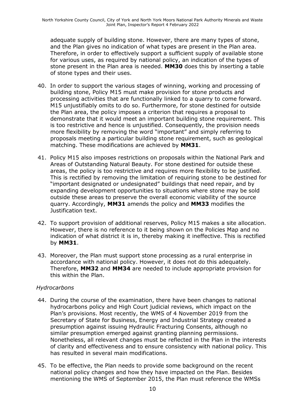adequate supply of building stone. However, there are many types of stone, and the Plan gives no indication of what types are present in the Plan area. Therefore, in order to effectively support a sufficient supply of available stone for various uses, as required by national policy, an indication of the types of stone present in the Plan area is needed. **MM30** does this by inserting a table of stone types and their uses.

- 40. In order to support the various stages of winning, working and processing of building stone, Policy M15 must make provision for stone products and processing activities that are functionally linked to a quarry to come forward. M15 unjustifiably omits to do so. Furthermore, for stone destined for outside the Plan area, the policy imposes a criterion that requires a proposal to demonstrate that it would meet an important building stone requirement. This is too restrictive and hence is unjustified. Consequently, the provision needs more flexibility by removing the word "important" and simply referring to proposals meeting a particular building stone requirement, such as geological matching. These modifications are achieved by **MM31**.
- 41. Policy M15 also imposes restrictions on proposals within the National Park and Areas of Outstanding Natural Beauty. For stone destined for outside these areas, the policy is too restrictive and requires more flexibility to be justified. This is rectified by removing the limitation of requiring stone to be destined for "important designated or undesignated" buildings that need repair, and by expanding development opportunities to situations where stone may be sold outside these areas to preserve the overall economic viability of the source quarry. Accordingly, **MM31** amends the policy and **MM33** modifies the Justification text.
- 42. To support provision of additional reserves, Policy M15 makes a site allocation. However, there is no reference to it being shown on the Policies Map and no indication of what district it is in, thereby making it ineffective. This is rectified by **MM31**.
- 43. Moreover, the Plan must support stone processing as a rural enterprise in accordance with national policy. However, it does not do this adequately. Therefore, **MM32** and **MM34** are needed to include appropriate provision for this within the Plan.

#### *Hydrocarbons*

- 44. During the course of the examination, there have been changes to national hydrocarbons policy and High Court judicial reviews, which impact on the Plan's provisions. Most recently, the WMS of 4 November 2019 from the Secretary of State for Business, Energy and Industrial Strategy created a presumption against issuing Hydraulic Fracturing Consents, although no similar presumption emerged against granting planning permissions. Nonetheless, all relevant changes must be reflected in the Plan in the interests of clarity and effectiveness and to ensure consistency with national policy. This has resulted in several main modifications.
- 45. To be effective, the Plan needs to provide some background on the recent national policy changes and how they have impacted on the Plan. Besides mentioning the WMS of September 2015, the Plan must reference the WMSs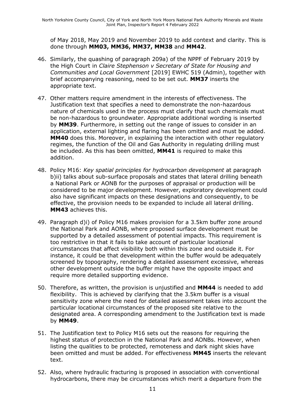of May 2018, May 2019 and November 2019 to add context and clarity. This is done through **MM03, MM36, MM37, MM38** and **MM42**.

- 46. Similarly, the quashing of paragraph 209a) of the NPPF of February 2019 by the High Court in *Claire Stephenson v Secretary of State for Housing and Communities and Local Government* [2019] EWHC 519 (Admin), together with brief accompanying reasoning, need to be set out. **MM37** inserts the appropriate text.
- 47. Other matters require amendment in the interests of effectiveness. The Justification text that specifies a need to demonstrate the non-hazardous nature of chemicals used in the process must clarify that such chemicals must be non-hazardous to groundwater. Appropriate additional wording is inserted by **MM39**. Furthermore, in setting out the range of issues to consider in an application, external lighting and flaring has been omitted and must be added. **MM40** does this. Moreover, in explaining the interaction with other regulatory regimes, the function of the Oil and Gas Authority in regulating drilling must be included. As this has been omitted, **MM41** is required to make this addition.
- 48. Policy M16: *Key spatial principles for hydrocarbon development* at paragraph b)ii) talks about sub-surface proposals and states that lateral drilling beneath a National Park or AONB for the purposes of appraisal or production will be considered to be major development. However, exploratory development could also have significant impacts on these designations and consequently, to be effective, the provision needs to be expanded to include all lateral drilling. **MM43** achieves this.
- 49. Paragraph d)i) of Policy M16 makes provision for a 3.5km buffer zone around the National Park and AONB, where proposed surface development must be supported by a detailed assessment of potential impacts. This requirement is too restrictive in that it fails to take account of particular locational circumstances that affect visibility both within this zone and outside it. For instance, it could be that development within the buffer would be adequately screened by topography, rendering a detailed assessment excessive, whereas other development outside the buffer might have the opposite impact and require more detailed supporting evidence.
- 50. Therefore, as written, the provision is unjustified and **MM44** is needed to add flexibility. This is achieved by clarifying that the 3.5km buffer is a visual sensitivity zone where the need for detailed assessment takes into account the particular locational circumstances of the proposed site relative to the designated area. A corresponding amendment to the Justification text is made by **MM49**.
- 51. The Justification text to Policy M16 sets out the reasons for requiring the highest status of protection in the National Park and AONBs. However, when listing the qualities to be protected, remoteness and dark night skies have been omitted and must be added. For effectiveness **MM45** inserts the relevant text.
- 52. Also, where hydraulic fracturing is proposed in association with conventional hydrocarbons, there may be circumstances which merit a departure from the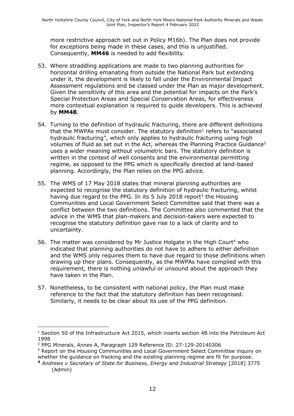more restrictive approach set out in Policy M16b). The Plan does not provide for exceptions being made in these cases, and this is unjustified. Consequently, **MM46** is needed to add flexibility.

- 53. Where straddling applications are made to two planning authorities for horizontal drilling emanating from outside the National Park but extending under it, the development is likely to fall under the Environmental Impact Assessment regulations and be classed under the Plan as major development. Given the sensitivity of this area and the potential for impacts on the Park's Special Protection Areas and Special Conservation Areas, for effectiveness more contextual explanation is required to guide developers. This is achieved by **MM48**.
- 54. Turning to the definition of hydraulic fracturing, there are different definitions that the MWPAs must consider. The statutory definition<sup>1</sup> refers to "associated hydraulic fracturing", which only applies to hydraulic fracturing using high volumes of fluid as set out in the Act, whereas the Planning Practice Guidance<sup>2</sup> uses a wider meaning without volumetric bars. The statutory definition is written in the context of well consents and the environmental permitting regime, as opposed to the PPG which is specifically directed at land-based planning. Accordingly, the Plan relies on the PPG advice.
- 55. The WMS of 17 May 2018 states that mineral planning authorities are expected to recognise the statutory definition of hydraulic fracturing, whilst having due regard to the PPG. In its 5 July 2018 report<sup>3</sup> the Housing Communities and Local Government Select Committee said that there was a conflict between the two definitions. The Committee also commented that the advice in the WMS that plan-makers and decision-takers were expected to recognise the statutory definition gave rise to a lack of clarity and to uncertainty.
- 56. The matter was considered by Mr Justice Holgate in the High Court<sup>4</sup> who indicated that planning authorities do not have to adhere to either definition and the WMS only requires them to have due regard to those definitions when drawing up their plans. Consequently, as the MWPAs have complied with this requirement, there is nothing unlawful or unsound about the approach they have taken in the Plan.
- 57. Nonetheless, to be consistent with national policy, the Plan must make reference to the fact that the statutory definition has been recognised. Similarly, it needs to be clear about its use of the PPG definition.

<sup>&</sup>lt;sup>1</sup> Section 50 of the Infrastructure Act 2015, which inserts section 4B into the Petroleum Act 1998

<sup>2</sup> PPG Minerals, Annex A, Paragraph 129 Reference ID: 27-129-20140306

<sup>&</sup>lt;sup>3</sup> Report on the Housing Communities and Local Government Select Committee inquiry on whether the guidance on fracking and the existing planning regime are fit for purpose.

**<sup>4</sup>** *Andrews v Secretary of State for Business, Energy and Industrial Strategy* [2018] 3775 (Admin)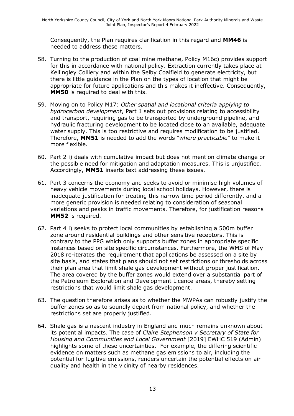Consequently, the Plan requires clarification in this regard and **MM46** is needed to address these matters.

- 58. Turning to the production of coal mine methane, Policy M16c) provides support for this in accordance with national policy. Extraction currently takes place at Kellingley Colliery and within the Selby Coalfield to generate electricity, but there is little guidance in the Plan on the types of location that might be appropriate for future applications and this makes it ineffective. Consequently, **MM50** is required to deal with this.
- 59. Moving on to Policy M17: *Other spatial and locational criteria applying to hydrocarbon development*, Part 1 sets out provisions relating to accessibility and transport, requiring gas to be transported by underground pipeline, and hydraulic fracturing development to be located close to an available, adequate water supply. This is too restrictive and requires modification to be justified. Therefore, **MM51** is needed to add the words "*where practicable"* to make it more flexible.
- 60. Part 2 i) deals with cumulative impact but does not mention climate change or the possible need for mitigation and adaptation measures. This is unjustified. Accordingly, **MM51** inserts text addressing these issues.
- 61. Part 3 concerns the economy and seeks to avoid or minimise high volumes of heavy vehicle movements during local school holidays. However, there is inadequate justification for treating this narrow time period differently, and a more generic provision is needed relating to consideration of seasonal variations and peaks in traffic movements. Therefore, for justification reasons **MM52** is required.
- 62. Part 4 i) seeks to protect local communities by establishing a 500m buffer zone around residential buildings and other sensitive receptors. This is contrary to the PPG which only supports buffer zones in appropriate specific instances based on site specific circumstances. Furthermore, the WMS of May 2018 re-iterates the requirement that applications be assessed on a site by site basis, and states that plans should not set restrictions or thresholds across their plan area that limit shale gas development without proper justification. The area covered by the buffer zones would extend over a substantial part of the Petroleum Exploration and Development Licence areas, thereby setting restrictions that would limit shale gas development.
- 63. The question therefore arises as to whether the MWPAs can robustly justify the buffer zones so as to soundly depart from national policy, and whether the restrictions set are properly justified.
- 64. Shale gas is a nascent industry in England and much remains unknown about its potential impacts. The case of *Claire Stephenson v Secretary of State for Housing and Communities and Local Government* [2019] EWHC 519 (Admin) highlights some of these uncertainties. For example, the differing scientific evidence on matters such as methane gas emissions to air, including the potential for fugitive emissions, renders uncertain the potential effects on air quality and health in the vicinity of nearby residences.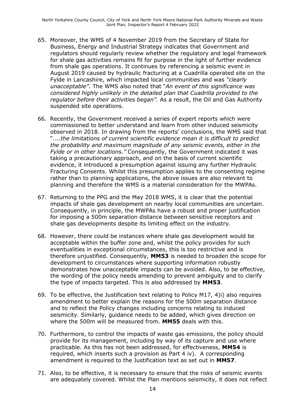- 65. Moreover, the WMS of 4 November 2019 from the Secretary of State for Business, Energy and Industrial Strategy indicates that Government and regulators should regularly review whether the regulatory and legal framework for shale gas activities remains fit for purpose in the light of further evidence from shale gas operations. It continues by referencing a seismic event in August 2019 caused by hydraulic fracturing at a Cuadrilla operated site on the Fylde in Lancashire, which impacted local communities and was *"clearly unacceptable"*. The WMS also noted that "*An event of this significance was considered highly unlikely in the detailed plan that Cuadrilla provided to the regulator before their activities began".* As a result, the Oil and Gas Authority suspended site operations.
- 66. Recently, the Government received a series of expert reports which were commissioned to better understand and learn from other induced seismicity observed in 2018. In drawing from the reports' conclusions, the WMS said that "....*the limitations of current scientific evidence mean it is difficult to predict the probability and maximum magnitude of any seismic events, either in the Fylde or in other locations."* Consequently, the Government indicated it was taking a precautionary approach, and on the basis of current scientific evidence, it introduced a presumption against issuing any further Hydraulic Fracturing Consents. Whilst this presumption applies to the consenting regime rather than to planning applications, the above issues are also relevant to planning and therefore the WMS is a material consideration for the MWPAs.
- 67. Returning to the PPG and the May 2018 WMS, it is clear that the potential impacts of shale gas development on nearby local communities are uncertain. Consequently, in principle, the MWPAs have a robust and proper justification for imposing a 500m separation distance between sensitive receptors and shale gas developments despite its limiting effect on the industry.
- 68. However, there could be instances where shale gas development would be acceptable within the buffer zone and, whilst the policy provides for such eventualities in exceptional circumstances, this is too restrictive and is therefore unjustified. Consequently, **MM53** is needed to broaden the scope for development to circumstances where supporting information robustly demonstrates how unacceptable impacts can be avoided. Also, to be effective, the wording of the policy needs amending to prevent ambiguity and to clarify the type of impacts targeted. This is also addressed by **MM53**.
- 69. To be effective, the Justification text relating to Policy M17, 4)i) also requires amendment to better explain the reasons for the 500m separation distance and to reflect the Policy changes including concerns relating to induced seismicity. Similarly, guidance needs to be added, which gives direction on where the 500m will be measured from. **MM55** deals with this.
- 70. Furthermore, to control the impacts of waste gas emissions, the policy should provide for its management, including by way of its capture and use where practicable. As this has not been addressed, for effectiveness, **MM54** is required, which inserts such a provision as Part 4 iv). A corresponding amendment is required to the Justification text as set out in **MM57**.
- 71. Also, to be effective, it is necessary to ensure that the risks of seismic events are adequately covered. Whilst the Plan mentions seismicity, it does not reflect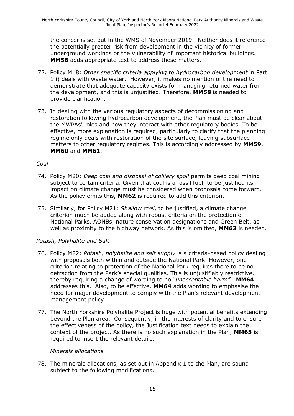the concerns set out in the WMS of November 2019. Neither does it reference the potentially greater risk from development in the vicinity of former underground workings or the vulnerability of important historical buildings. **MM56** adds appropriate text to address these matters.

- 72. Policy M18: *Other specific criteria applying to hydrocarbon development* in Part 1 i) deals with waste water. However, it makes no mention of the need to demonstrate that adequate capacity exists for managing returned water from the development, and this is unjustified. Therefore, **MM58** is needed to provide clarification.
- 73. In dealing with the various regulatory aspects of decommissioning and restoration following hydrocarbon development, the Plan must be clear about the MWPAs' roles and how they interact with other regulatory bodies. To be effective, more explanation is required, particularly to clarify that the planning regime only deals with restoration of the site surface, leaving subsurface matters to other regulatory regimes. This is accordingly addressed by **MM59**, **MM60** and **MM61**.

#### *Coal*

- 74. Policy M20: *Deep coal and disposal of colliery spoil* permits deep coal mining subject to certain criteria. Given that coal is a fossil fuel, to be justified its impact on climate change must be considered when proposals come forward. As the policy omits this, **MM62** is required to add this criterion.
- 75. Similarly, for Policy M21: *Shallow coal*, to be justified, a climate change criterion much be added along with robust criteria on the protection of National Parks, AONBs, nature conservation designations and Green Belt, as well as proximity to the highway network. As this is omitted, **MM63** is needed.

#### *Potash, Polyhalite and Salt*

- 76. Policy M22: *Potash, polyhalite and salt supply* is a criteria-based policy dealing with proposals both within and outside the National Park. However, one criterion relating to protection of the National Park requires there to be no detraction from the Park's special qualities. This is unjustifiably restrictive, thereby requiring a change of wording to no *"unacceptable harm"*. **MM64** addresses this. Also, to be effective, **MM64** adds wording to emphasise the need for major development to comply with the Plan's relevant development management policy.
- 77. The North Yorkshire Polyhalite Project is huge with potential benefits extending beyond the Plan area. Consequently, in the interests of clarity and to ensure the effectiveness of the policy, the Justification text needs to explain the context of the project. As there is no such explanation in the Plan, **MM65** is required to insert the relevant details.

#### *Minerals allocations*

78. The minerals allocations, as set out in Appendix 1 to the Plan, are sound subject to the following modifications.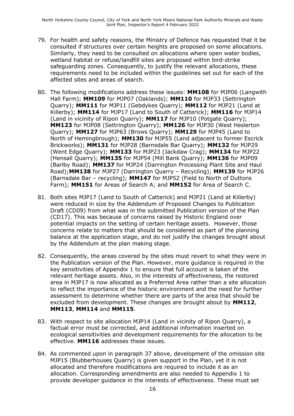- 79. For health and safety reasons, the Ministry of Defence has requested that it be consulted if structures over certain heights are proposed on some allocations. Similarly, they need to be consulted on allocations where open water bodies, wetland habitat or refuse/landfill sites are proposed within bird-strike safeguarding zones. Consequently, to justify the relevant allocations, these requirements need to be included within the guidelines set out for each of the affected sites and areas of search.
- 80. The following modifications address these issues: **MM108** for MJP06 (Langwith Hall Farm); **MM109** for MJP07 (Oaklands); **MM110** for MJP33 (Settrington Quarry); **MM111** for MJP11 (Gebdykes Quarry); **MM112** for MJP21 (Land at Killerby); **MM114** for MJP17 (Land to South of Catterick); **MM116** for MJP14 (Land in vicinity of Ripon Quarry); **MM117** for MJP10 (Potgate Quarry); **MM123** for MJP08 (Settrington Quarry); **MM126** for MJP30 (West Heslerton Quarry); **MM127** for MJP63 (Brows Quarry); **MM129** for MJP45 (Land to North of Hemingbrough); **MM130** for MJP55 (Land adjacent to former Escrick Brickworks); **MM131** for MJP28 (Barnsdale Bar Quarry); **MM132** for MJP29 (Went Edge Quarry); **MM133** for MJP23 (Jackdaw Crag); **MM134** for MJP22 (Hensall Quarry); **MM135** for MJP54 (Mill Bank Quarry); **MM136** for MJP09 (Barlby Road); **MM137** for MJP24 (Darrington Processing Plant Site and Haul Road);**MM138** for MJP27 (Darrington Quarry – Recycling); **MM139** for MJP26 (Barnsdale Bar – recycling); **MM147** for MJP52 (Field to North of Duttons Farm); **MM151** for Areas of Search A; and **MM152** for Area of Search C.
- 81. Both sites MJP17 (Land to South of Catterick) and MJP21 (Land at Killerby) were reduced in size by the Addendum of Proposed Changes to Publication Draft (CD09) from what was in the submitted Publication version of the Plan (CD17). This was because of concerns raised by Historic England over potential impacts on the setting of certain heritage assets. However, those concerns relate to matters that should be considered as part of the planning balance at the application stage, and do not justify the changes brought about by the Addendum at the plan making stage.
- 82. Consequently, the areas covered by the sites must revert to what they were in the Publication version of the Plan. However, more guidance is required in the key sensitivities of Appendix 1 to ensure that full account is taken of the relevant heritage assets. Also, in the interests of effectiveness, the restored area in MJP17 is now allocated as a Preferred Area rather than a site allocation to reflect the importance of the historic environment and the need for further assessment to determine whether there are parts of the area that should be excluded from development. These changes are brought about by **MM112**, **MM113**, **MM114** and **MM115**.
- 83. With respect to site allocation MJP14 (Land in vicinity of Ripon Quarry), a factual error must be corrected, and additional information inserted on ecological sensitivities and development requirements for the allocation to be effective. **MM116** addresses these issues.
- 84. As commented upon in paragraph 37 above, development of the omission site MJP15 (Blubberhouses Quarry) is given support in the Plan, yet it is not allocated and therefore modifications are required to include it as an allocation. Corresponding amendments are also needed to Appendix 1 to provide developer guidance in the interests of effectiveness. These must set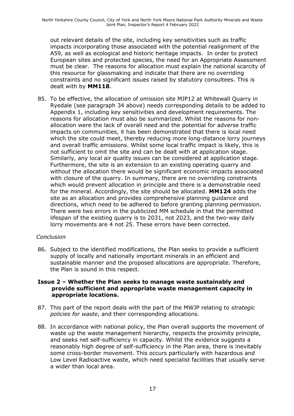out relevant details of the site, including key sensitivities such as traffic impacts incorporating those associated with the potential realignment of the A59, as well as ecological and historic heritage impacts. In order to protect European sites and protected species, the need for an Appropriate Assessment must be clear. The reasons for allocation must explain the national scarcity of this resource for glassmaking and indicate that there are no overriding constraints and no significant issues raised by statutory consultees. This is dealt with by **MM118**.

85. To be effective, the allocation of omission site MJP12 at Whitewall Quarry in Ryedale (see paragraph 34 above) needs corresponding details to be added to Appendix 1, including key sensitivities and development requirements. The reasons for allocation must also be summarized. Whilst the reasons for nonallocation were the lack of overall need and the potential for adverse traffic impacts on communities, it has been demonstrated that there is local need which the site could meet, thereby reducing more long-distance lorry journeys and overall traffic emissions. Whilst some local traffic impact is likely, this is not sufficient to omit the site and can be dealt with at application stage. Similarly, any local air quality issues can be considered at application stage. Furthermore, the site is an extension to an existing operating quarry and without the allocation there would be significant economic impacts associated with closure of the quarry. In summary, there are no overriding constraints which would prevent allocation in principle and there is a demonstrable need for the mineral. Accordingly, the site should be allocated. **MM124** adds the site as an allocation and provides comprehensive planning guidance and directions, which need to be adhered to before granting planning permission. There were two errors in the publicized MM schedule in that the permitted lifespan of the existing quarry is to 2031, not 2023, and the two-way daily lorry movements are 4 not 25. These errors have been corrected.

#### *Conclusion*

86. Subject to the identified modifications, the Plan seeks to provide a sufficient supply of locally and nationally important minerals in an efficient and sustainable manner and the proposed allocations are appropriate. Therefore, the Plan is sound in this respect.

#### **Issue 2 – Whether the Plan seeks to manage waste sustainably and provide sufficient and appropriate waste management capacity in appropriate locations.**

- 87. This part of the report deals with the part of the MWJP relating to *strategic policies for waste*, and their corresponding allocations.
- 88. In accordance with national policy, the Plan overall supports the movement of waste up the waste management hierarchy, respects the proximity principle, and seeks net self-sufficiency in capacity. Whilst the evidence suggests a reasonably high degree of self-sufficiency in the Plan area, there is inevitably some cross-border movement. This occurs particularly with hazardous and Low Level Radioactive waste, which need specialist facilities that usually serve a wider than local area.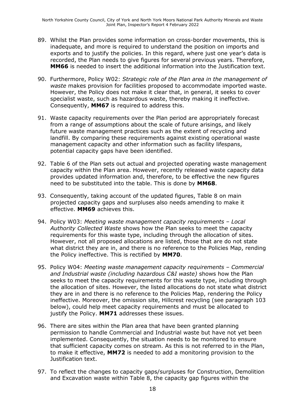- 89. Whilst the Plan provides some information on cross-border movements, this is inadequate, and more is required to understand the position on imports and exports and to justify the policies. In this regard, where just one year's data is recorded, the Plan needs to give figures for several previous years. Therefore, **MM66** is needed to insert the additional information into the Justification text.
- 90. Furthermore, Policy W02: *Strategic role of the Plan area in the management of waste* makes provision for facilities proposed to accommodate imported waste. However, the Policy does not make it clear that, in general, it seeks to cover specialist waste, such as hazardous waste, thereby making it ineffective. Consequently, **MM67** is required to address this.
- 91. Waste capacity requirements over the Plan period are appropriately forecast from a range of assumptions about the scale of future arisings, and likely future waste management practices such as the extent of recycling and landfill. By comparing these requirements against existing operational waste management capacity and other information such as facility lifespans, potential capacity gaps have been identified.
- 92. Table 6 of the Plan sets out actual and projected operating waste management capacity within the Plan area. However, recently released waste capacity data provides updated information and, therefore, to be effective the new figures need to be substituted into the table. This is done by **MM68**.
- 93. Consequently, taking account of the updated figures, Table 8 on main projected capacity gaps and surpluses also needs amending to make it effective. **MM69** achieves this.
- 94. Policy W03: *Meeting waste management capacity requirements – Local Authority Collected Waste* shows how the Plan seeks to meet the capacity requirements for this waste type, including through the allocation of sites. However, not all proposed allocations are listed, those that are do not state what district they are in, and there is no reference to the Policies Map, rending the Policy ineffective. This is rectified by **MM70**.
- 95. Policy W04: *Meeting waste management capacity requirements – Commercial and Industrial waste (including hazardous C&I waste)* shows how the Plan seeks to meet the capacity requirements for this waste type, including through the allocation of sites. However, the listed allocations do not state what district they are in and there is no reference to the Policies Map, rendering the Policy ineffective. Moreover, the omission site, Hillcrest recycling (see paragraph 103 below), could help meet capacity requirements and must be allocated to justify the Policy. **MM71** addresses these issues.
- 96. There are sites within the Plan area that have been granted planning permission to handle Commercial and Industrial waste but have not yet been implemented. Consequently, the situation needs to be monitored to ensure that sufficient capacity comes on stream. As this is not referred to in the Plan, to make it effective, **MM72** is needed to add a monitoring provision to the Justification text.
- 97. To reflect the changes to capacity gaps/surpluses for Construction, Demolition and Excavation waste within Table 8, the capacity gap figures within the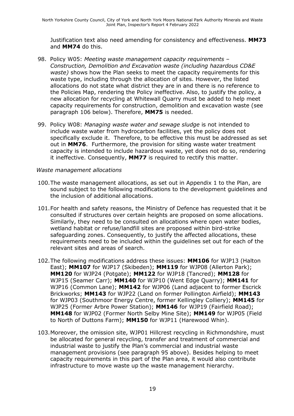Justification text also need amending for consistency and effectiveness. **MM73**  and **MM74** do this.

- 98. Policy W05: *Meeting waste management capacity requirements – Construction, Demolition and Excavation waste (including hazardous CD&E waste)* shows how the Plan seeks to meet the capacity requirements for this waste type, including through the allocation of sites. However, the listed allocations do not state what district they are in and there is no reference to the Policies Map, rendering the Policy ineffective. Also, to justify the policy, a new allocation for recycling at Whitewall Quarry must be added to help meet capacity requirements for construction, demolition and excavation waste (see paragraph 106 below). Therefore, **MM75** is needed.
- 99. Policy W08: *Managing waste water and sewage sludge* is not intended to include waste water from hydrocarbon facilities, yet the policy does not specifically exclude it. Therefore, to be effective this must be addressed as set out in **MM76**. Furthermore, the provision for siting waste water treatment capacity is intended to include hazardous waste, yet does not do so, rendering it ineffective. Consequently, **MM77** is required to rectify this matter.

#### *Waste management allocations*

- 100.The waste management allocations, as set out in Appendix 1 to the Plan, are sound subject to the following modifications to the development guidelines and the inclusion of additional allocations.
- 101.For health and safety reasons, the Ministry of Defence has requested that it be consulted if structures over certain heights are proposed on some allocations. Similarly, they need to be consulted on allocations where open water bodies, wetland habitat or refuse/landfill sites are proposed within bird-strike safeguarding zones. Consequently, to justify the affected allocations, these requirements need to be included within the guidelines set out for each of the relevant sites and areas of search.
- 102.The following modifications address these issues: **MM106** for WJP13 (Halton East); **MM107** for WJP17 (Skibeden); **MM119** for WJP08 (Allerton Park); **MM120** for WJP24 (Potgate); **MM122** for WJP18 (Tancred); **MM128** for WJP15 (Seamer Carr); **MM140** for WJP10 (Went Edge Quarry); **MM141** for WJP16 (Common Lane); **MM142** for WJP06 (Land adjacent to former Escrick Brickworks; **MM143** for WJP22 (Land on former Pollington Airfield); **MM143**  for WJP03 (Southmoor Energy Centre, former Kellingley Colliery); **MM145** for WJP25 (Former Arbre Power Station); **MM146** for WJP19 (Fairfield Road); **MM148** for WJP02 (Former North Selby Mine Site); **MM149** for WJP05 (Field to North of Duttons Farm); **MM150** for WJP11 (Harewood Whin).
- 103.Moreover, the omission site, WJP01 Hillcrest recycling in Richmondshire, must be allocated for general recycling, transfer and treatment of commercial and industrial waste to justify the Plan's commercial and industrial waste management provisions (see paragraph 95 above). Besides helping to meet capacity requirements in this part of the Plan area, it would also contribute infrastructure to move waste up the waste management hierarchy.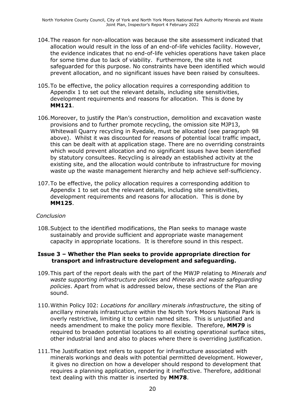- 104.The reason for non-allocation was because the site assessment indicated that allocation would result in the loss of an end-of-life vehicles facility. However, the evidence indicates that no end-of-life vehicles operations have taken place for some time due to lack of viability. Furthermore, the site is not safeguarded for this purpose. No constraints have been identified which would prevent allocation, and no significant issues have been raised by consultees.
- 105.To be effective, the policy allocation requires a corresponding addition to Appendix 1 to set out the relevant details, including site sensitivities, development requirements and reasons for allocation. This is done by **MM121**.
- 106.Moreover, to justify the Plan's construction, demolition and excavation waste provisions and to further promote recycling, the omission site MJP13, Whitewall Quarry recycling in Ryedale, must be allocated (see paragraph 98 above). Whilst it was discounted for reasons of potential local traffic impact, this can be dealt with at application stage. There are no overriding constraints which would prevent allocation and no significant issues have been identified by statutory consultees. Recycling is already an established activity at the existing site, and the allocation would contribute to infrastructure for moving waste up the waste management hierarchy and help achieve self-sufficiency.
- 107.To be effective, the policy allocation requires a corresponding addition to Appendix 1 to set out the relevant details, including site sensitivities, development requirements and reasons for allocation. This is done by **MM125**.

#### *Conclusion*

108.Subject to the identified modifications, the Plan seeks to manage waste sustainably and provide sufficient and appropriate waste management capacity in appropriate locations. It is therefore sound in this respect.

#### **Issue 3 – Whether the Plan seeks to provide appropriate direction for transport and infrastructure development and safeguarding.**

- 109.This part of the report deals with the part of the MWJP relating to *Minerals and waste supporting infrastructure policies* and *Minerals and waste safeguarding policies*. Apart from what is addressed below, these sections of the Plan are sound.
- 110.Within Policy I02: *Locations for ancillary minerals infrastructure*, the siting of ancillary minerals infrastructure within the North York Moors National Park is overly restrictive, limiting it to certain named sites. This is unjustified and needs amendment to make the policy more flexible. Therefore, **MM79** is required to broaden potential locations to all existing operational surface sites, other industrial land and also to places where there is overriding justification.
- 111.The Justification text refers to support for infrastructure associated with minerals workings and deals with potential permitted development. However, it gives no direction on how a developer should respond to development that requires a planning application, rendering it ineffective. Therefore, additional text dealing with this matter is inserted by **MM78**.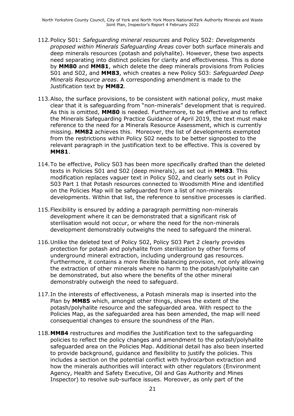North Yorkshire County Council, City of York and North York Moors National Park Authority Minerals and Waste Joint Plan, Inspector's Report 4 February 2022

- 112.Policy S01: *Safeguarding mineral resources* and Policy S02: *Developments proposed within Minerals Safeguarding Areas* cover both surface minerals and deep minerals resources (potash and polyhalite). However, these two aspects need separating into distinct policies for clarity and effectiveness. This is done by **MM80** and **MM81**, which delete the deep minerals provisions from Policies S01 and S02, and **MM83**, which creates a new Policy S03: *Safeguarded Deep Minerals Resource areas*. A corresponding amendment is made to the Justification text by **MM82**.
- 113.Also, the surface provisions, to be consistent with national policy, must make clear that it is safeguarding from "non-minerals" development that is required. As this is omitted, **MM80** is needed. Furthermore, to be effective and to reflect the Minerals Safeguarding Practice Guidance of April 2019, the text must make reference to the need for a Minerals Resource Assessment, which is currently missing. **MM82** achieves this. Moreover, the list of developments exempted from the restrictions within Policy S02 needs to be better signposted to the relevant paragraph in the justification text to be effective. This is covered by **MM81**.
- 114.To be effective, Policy S03 has been more specifically drafted than the deleted texts in Policies S01 and S02 (deep minerals), as set out in **MM83**. This modification replaces vaguer text in Policy S02, and clearly sets out in Policy S03 Part 1 that Potash resources connected to Woodsmith Mine and identified on the Policies Map will be safeguarded from a list of non-minerals developments. Within that list, the reference to sensitive processes is clarified.
- 115.Flexibility is ensured by adding a paragraph permitting non-minerals development where it can be demonstrated that a significant risk of sterilisation would not occur, or where the need for the non-minerals development demonstrably outweighs the need to safeguard the mineral.
- 116.Unlike the deleted text of Policy S02, Policy S03 Part 2 clearly provides protection for potash and polyhalite from sterilization by other forms of underground mineral extraction, including underground gas resources. Furthermore, it contains a more flexible balancing provision, not only allowing the extraction of other minerals where no harm to the potash/polyhalite can be demonstrated, but also where the benefits of the other mineral demonstrably outweigh the need to safeguard.
- 117.In the interests of effectiveness, a Potash minerals map is inserted into the Plan by **MM85** which, amongst other things, shows the extent of the potash/polyhalite resource and the safeguarded area. With respect to the Policies Map, as the safeguarded area has been amended, the map will need consequential changes to ensure the soundness of the Plan.
- 118.**MM84** restructures and modifies the Justification text to the safeguarding policies to reflect the policy changes and amendment to the potash/polyhalite safeguarded area on the Policies Map. Additional detail has also been inserted to provide background, guidance and flexibility to justify the policies. This includes a section on the potential conflict with hydrocarbon extraction and how the minerals authorities will interact with other regulators (Environment Agency, Health and Safety Executive, Oil and Gas Authority and Mines Inspector) to resolve sub-surface issues. Moreover, as only part of the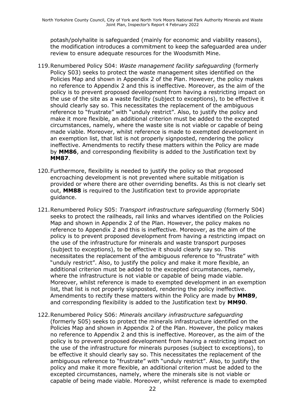potash/polyhalite is safeguarded (mainly for economic and viability reasons), the modification introduces a commitment to keep the safeguarded area under review to ensure adequate resources for the Woodsmith Mine.

- 119.Renumbered Policy S04: *Waste management facility safeguarding* (formerly Policy S03) seeks to protect the waste management sites identified on the Policies Map and shown in Appendix 2 of the Plan. However, the policy makes no reference to Appendix 2 and this is ineffective. Moreover, as the aim of the policy is to prevent proposed development from having a restricting impact on the use of the site as a waste facility (subject to exceptions), to be effective it should clearly say so. This necessitates the replacement of the ambiguous reference to "frustrate" with "unduly restrict". Also, to justify the policy and make it more flexible, an additional criterion must be added to the excepted circumstances, namely, where the waste site is not viable or capable of being made viable. Moreover, whilst reference is made to exempted development in an exemption list, that list is not properly signposted, rendering the policy ineffective. Amendments to rectify these matters within the Policy are made by **MM86**, and corresponding flexibility is added to the Justification text by **MM87**.
- 120.Furthermore, flexibility is needed to justify the policy so that proposed encroaching development is not prevented where suitable mitigation is provided or where there are other overriding benefits. As this is not clearly set out, **MM88** is required to the Justification text to provide appropriate guidance.
- 121.Renumbered Policy S05: *Transport infrastructure safeguarding* (formerly S04) seeks to protect the railheads, rail links and wharves identified on the Policies Map and shown in Appendix 2 of the Plan. However, the policy makes no reference to Appendix 2 and this is ineffective. Moreover, as the aim of the policy is to prevent proposed development from having a restricting impact on the use of the infrastructure for minerals and waste transport purposes (subject to exceptions), to be effective it should clearly say so. This necessitates the replacement of the ambiguous reference to "frustrate" with "unduly restrict". Also, to justify the policy and make it more flexible, an additional criterion must be added to the excepted circumstances, namely, where the infrastructure is not viable or capable of being made viable. Moreover, whilst reference is made to exempted development in an exemption list, that list is not properly signposted, rendering the policy ineffective. Amendments to rectify these matters within the Policy are made by **MM89**, and corresponding flexibility is added to the Justification text by **MM90**.
- 122.Renumbered Policy S06: *Minerals ancillary infrastructure safeguarding*  (formerly S05) seeks to protect the minerals infrastructure identified on the Policies Map and shown in Appendix 2 of the Plan. However, the policy makes no reference to Appendix 2 and this is ineffective. Moreover, as the aim of the policy is to prevent proposed development from having a restricting impact on the use of the infrastructure for minerals purposes (subject to exceptions), to be effective it should clearly say so. This necessitates the replacement of the ambiguous reference to "frustrate" with "unduly restrict". Also, to justify the policy and make it more flexible, an additional criterion must be added to the excepted circumstances, namely, where the minerals site is not viable or capable of being made viable. Moreover, whilst reference is made to exempted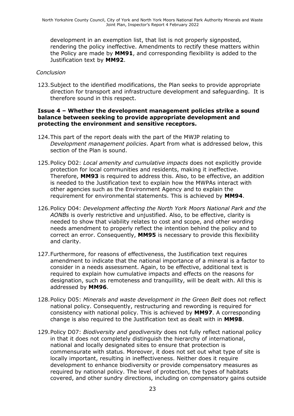development in an exemption list, that list is not properly signposted, rendering the policy ineffective. Amendments to rectify these matters within the Policy are made by **MM91**, and corresponding flexibility is added to the Justification text by **MM92**.

#### *Conclusion*

123.Subject to the identified modifications, the Plan seeks to provide appropriate direction for transport and infrastructure development and safeguarding. It is therefore sound in this respect.

#### **Issue 4 – Whether the development management policies strike a sound balance between seeking to provide appropriate development and protecting the environment and sensitive receptors.**

- 124.This part of the report deals with the part of the MWJP relating to *Development management policies*. Apart from what is addressed below, this section of the Plan is sound.
- 125.Policy D02: *Local amenity and cumulative impacts* does not explicitly provide protection for local communities and residents, making it ineffective. Therefore, **MM93** is required to address this. Also, to be effective, an addition is needed to the Justification text to explain how the MWPAs interact with other agencies such as the Environment Agency and to explain the requirement for environmental statements. This is achieved by **MM94**.
- 126.Policy D04: *Development affecting the North York Moors National Park and the AONBs* is overly restrictive and unjustified. Also, to be effective, clarity is needed to show that viability relates to cost and scope, and other wording needs amendment to properly reflect the intention behind the policy and to correct an error. Consequently, **MM95** is necessary to provide this flexibility and clarity.
- 127.Furthermore, for reasons of effectiveness, the Justification text requires amendment to indicate that the national importance of a mineral is a factor to consider in a needs assessment. Again, to be effective, additional text is required to explain how cumulative impacts and effects on the reasons for designation, such as remoteness and tranquillity, will be dealt with. All this is addressed by **MM96**.
- 128.Policy D05: *Minerals and waste development in the Green Belt* does not reflect national policy. Consequently, restructuring and rewording is required for consistency with national policy. This is achieved by **MM97**. A corresponding change is also required to the Justification text as dealt with in **MM98**.
- 129.Policy D07: *Biodiversity and geodiversity* does not fully reflect national policy in that it does not completely distinguish the hierarchy of international, national and locally designated sites to ensure that protection is commensurate with status. Moreover, it does not set out what type of site is locally important, resulting in ineffectiveness. Neither does it require development to enhance biodiversity or provide compensatory measures as required by national policy. The level of protection, the types of habitats covered, and other sundry directions, including on compensatory gains outside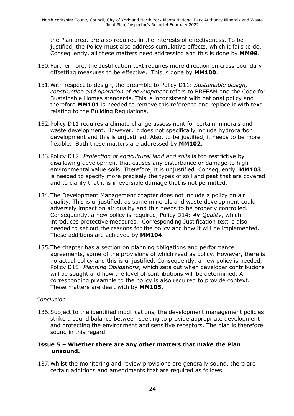the Plan area, are also required in the interests of effectiveness. To be justified, the Policy must also address cumulative effects, which it fails to do. Consequently, all these matters need addressing and this is done by **MM99**.

- 130.Furthermore, the Justification text requires more direction on cross boundary offsetting measures to be effective. This is done by **MM100**.
- 131.With respect to design, the preamble to Policy D11: *Sustainable design, construction and operation of development* refers to BREEAM and the Code for Sustainable Homes standards. This is inconsistent with national policy and therefore **MM101** is needed to remove this reference and replace it with text relating to the Building Regulations.
- 132.Policy D11 requires a climate change assessment for certain minerals and waste development. However, it does not specifically include hydrocarbon development and this is unjustified. Also, to be justified, it needs to be more flexible. Both these matters are addressed by **MM102**.
- 133.Policy D12: *Protection of agricultural land and soils* is too restrictive by disallowing development that causes any disturbance or damage to high environmental value soils. Therefore, it is unjustified. Consequently, **MM103** is needed to specify more precisely the types of soil and peat that are covered and to clarify that it is irreversible damage that is not permitted.
- 134.The Development Management chapter does not include a policy on air quality. This is unjustified, as some minerals and waste development could adversely impact on air quality and this needs to be properly controlled. Consequently, a new policy is required, Policy D14: *Air Quality*, which introduces protective measures. Corresponding Justification text is also needed to set out the reasons for the policy and how it will be implemented. These additions are achieved by **MM104**.
- 135.The chapter has a section on planning obligations and performance agreements, some of the provisions of which read as policy. However, there is no actual policy and this is unjustified. Consequently, a new policy is needed, Policy D15: *Planning Obligations*, which sets out when developer contributions will be sought and how the level of contributions will be determined. A corresponding preamble to the policy is also required to provide context. These matters are dealt with by **MM105**.

#### *Conclusion*

136.Subject to the identified modifications, the development management policies strike a sound balance between seeking to provide appropriate development and protecting the environment and sensitive receptors. The plan is therefore sound in this regard.

#### **Issue 5 – Whether there are any other matters that make the Plan unsound.**

137.Whilst the monitoring and review provisions are generally sound, there are certain additions and amendments that are required as follows.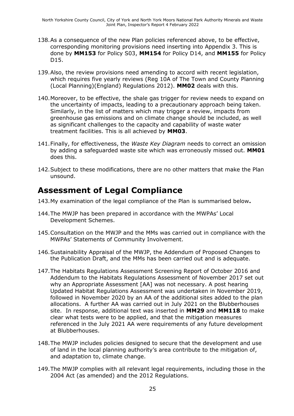- 138.As a consequence of the new Plan policies referenced above, to be effective, corresponding monitoring provisions need inserting into Appendix 3. This is done by **MM153** for Policy S03, **MM154** for Policy D14, and **MM155** for Policy D15.
- 139.Also, the review provisions need amending to accord with recent legislation, which requires five yearly reviews (Reg 10A of The Town and County Planning (Local Planning)(England) Regulations 2012). **MM02** deals with this.
- 140.Moreover, to be effective, the shale gas trigger for review needs to expand on the uncertainty of impacts, leading to a precautionary approach being taken. Similarly, in the list of matters which may trigger a review, impacts from greenhouse gas emissions and on climate change should be included, as well as significant challenges to the capacity and capability of waste water treatment facilities. This is all achieved by **MM03**.
- 141.Finally, for effectiveness, the *Waste Key Diagram* needs to correct an omission by adding a safeguarded waste site which was erroneously missed out. **MM01** does this.
- 142.Subject to these modifications, there are no other matters that make the Plan unsound.

### **Assessment of Legal Compliance**

- 143.My examination of the legal compliance of the Plan is summarised below**.**
- 144.The MWJP has been prepared in accordance with the MWPAs' Local Development Schemes.
- 145.Consultation on the MWJP and the MMs was carried out in compliance with the MWPAs' Statements of Community Involvement.
- 146.Sustainability Appraisal of the MWJP, the Addendum of Proposed Changes to the Publication Draft, and the MMs has been carried out and is adequate.
- 147.The Habitats Regulations Assessment Screening Report of October 2016 and Addendum to the Habitats Regulations Assessment of November 2017 set out why an Appropriate Assessment [AA] was not necessary. A post hearing Updated Habitat Regulations Assessment was undertaken in November 2019, followed in November 2020 by an AA of the additional sites added to the plan allocations. A further AA was carried out in July 2021 on the Blubberhouses site. In response, additional text was inserted in **MM29** and **MM118** to make clear what tests were to be applied, and that the mitigation measures referenced in the July 2021 AA were requirements of any future development at Blubberhouses.
- 148.The MWJP includes policies designed to secure that the development and use of land in the local planning authority's area contribute to the mitigation of, and adaptation to, climate change.
- 149.The MWJP complies with all relevant legal requirements, including those in the 2004 Act (as amended) and the 2012 Regulations.